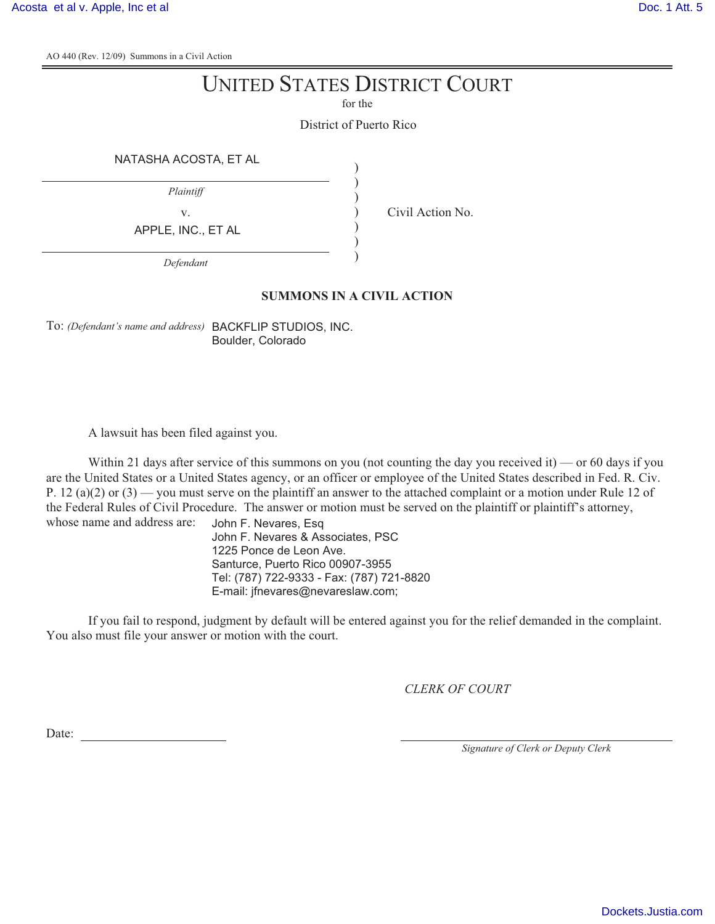AO 440 (Rev. 12/09) Summons in a Civil Action

## UNITED STATES DISTRICT COURT

for the

District of Puerto Rico

) ) ) ) ) ) )

NATASHA ACOSTA, ET AL

*Plaintiff*

APPLE, INC., ET AL

v. Civil Action No.

*Defendant*

## **SUMMONS IN A CIVIL ACTION**

To: *(Defendant's name and address)* BACKFLIP STUDIOS, INC. Boulder, Colorado

A lawsuit has been filed against you.

Within 21 days after service of this summons on you (not counting the day you received it) — or 60 days if you are the United States or a United States agency, or an officer or employee of the United States described in Fed. R. Civ. P. 12 (a)(2) or (3) — you must serve on the plaintiff an answer to the attached complaint or a motion under Rule 12 of the Federal Rules of Civil Procedure. The answer or motion must be served on the plaintiff or plaintiff's attorney, whose name and address are:

John F. Nevares, Esq John F. Nevares & Associates, PSC 1225 Ponce de Leon Ave. Santurce, Puerto Rico 00907-3955 Tel: (787) 722-9333 - Fax: (787) 721-8820 E-mail: jfnevares@nevareslaw.com;

If you fail to respond, judgment by default will be entered against you for the relief demanded in the complaint. You also must file your answer or motion with the court.

*CLERK OF COURT*

Date:

*Signature of Clerk or Deputy Clerk*